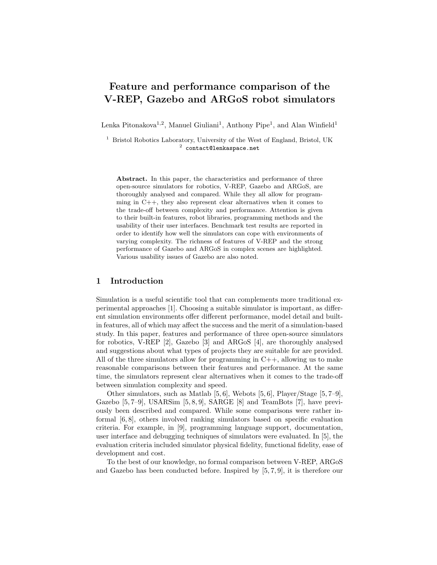# Feature and performance comparison of the V-REP, Gazebo and ARGoS robot simulators

Lenka Pitonakova<sup>1,2</sup>, Manuel Giuliani<sup>1</sup>, Anthony Pipe<sup>1</sup>, and Alan Winfield<sup>1</sup>

<sup>1</sup> Bristol Robotics Laboratory, University of the West of England, Bristol, UK  $^{\rm 2}$  contact@lenkaspace.net

Abstract. In this paper, the characteristics and performance of three open-source simulators for robotics, V-REP, Gazebo and ARGoS, are thoroughly analysed and compared. While they all allow for programming in C++, they also represent clear alternatives when it comes to the trade-off between complexity and performance. Attention is given to their built-in features, robot libraries, programming methods and the usability of their user interfaces. Benchmark test results are reported in order to identify how well the simulators can cope with environments of varying complexity. The richness of features of V-REP and the strong performance of Gazebo and ARGoS in complex scenes are highlighted. Various usability issues of Gazebo are also noted.

## 1 Introduction

Simulation is a useful scientific tool that can complements more traditional experimental approaches [1]. Choosing a suitable simulator is important, as different simulation environments offer different performance, model detail and builtin features, all of which may affect the success and the merit of a simulation-based study. In this paper, features and performance of three open-source simulators for robotics, V-REP [2], Gazebo [3] and ARGoS [4], are thoroughly analysed and suggestions about what types of projects they are suitable for are provided. All of the three simulators allow for programming in  $C_{++}$ , allowing us to make reasonable comparisons between their features and performance. At the same time, the simulators represent clear alternatives when it comes to the trade-off between simulation complexity and speed.

Other simulators, such as Matlab [5, 6], Webots [5, 6], Player/Stage [5, 7–9], Gazebo [5, 7–9], USARSim [5, 8, 9], SARGE [8] and TeamBots [7], have previously been described and compared. While some comparisons were rather informal [6, 8], others involved ranking simulators based on specific evaluation criteria. For example, in [9], programming language support, documentation, user interface and debugging techniques of simulators were evaluated. In [5], the evaluation criteria included simulator physical fidelity, functional fidelity, ease of development and cost.

To the best of our knowledge, no formal comparison between V-REP, ARGoS and Gazebo has been conducted before. Inspired by [5, 7, 9], it is therefore our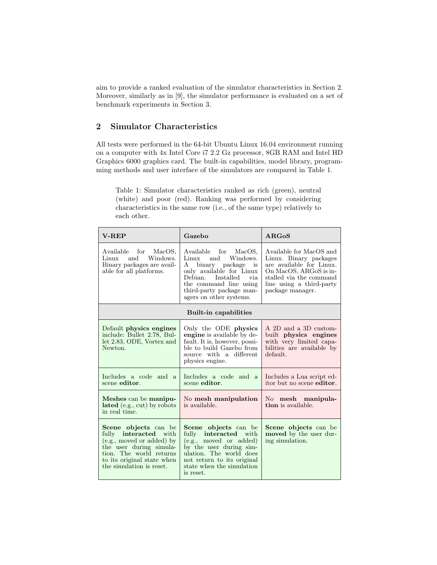aim to provide a ranked evaluation of the simulator characteristics in Section 2. Moreover, similarly as in [9], the simulator performance is evaluated on a set of benchmark experiments in Section 3.

## 2 Simulator Characteristics

All tests were performed in the 64-bit Ubuntu Linux 16.04 environment running on a computer with 4x Intel Core i7 2.2 Gz processor, 8GB RAM and Intel HD Graphics 6000 graphics card. The built-in capabilities, model library, programming methods and user interface of the simulators are compared in Table 1.

Table 1: Simulator characteristics ranked as rich (green), neutral (white) and poor (red). Ranking was performed by considering characteristics in the same row (i.e., of the same type) relatively to each other.

| <b>V-REP</b>                                                                                                                                                                                      | Gazebo                                                                                                                                                                                                                         | ARGoS                                                                                                                                                                              |  |
|---------------------------------------------------------------------------------------------------------------------------------------------------------------------------------------------------|--------------------------------------------------------------------------------------------------------------------------------------------------------------------------------------------------------------------------------|------------------------------------------------------------------------------------------------------------------------------------------------------------------------------------|--|
| Available for MacOS,<br>Windows.<br>Linux<br>and<br>Binary packages are avail-<br>able for all platforms.                                                                                         | Available for MacOS,<br>Linux<br>and<br>Windows.<br>binary package<br>A<br>$-$ is<br>only available for Linux<br>Debian.<br>Installed<br>via.<br>the command line using<br>third-party package man-<br>agers on other systems. | Available for MacOS and<br>Linux. Binary packages<br>are available for Linux.<br>On MacOS, ARGoS is in-<br>stalled via the command<br>line using a third-party<br>package manager. |  |
| Built-in capabilities                                                                                                                                                                             |                                                                                                                                                                                                                                |                                                                                                                                                                                    |  |
| Default physics engines<br>include: Bullet 2.78, Bul-<br>let 2.83, ODE, Vortex and<br>Newton.                                                                                                     | Only the ODE physics<br>engine is available by de-<br>fault. It is, however, possi-<br>ble to build Gazebo from<br>source with a different<br>physics engine.                                                                  | A 2D and a 3D custom-<br>built physics engines<br>with very limited capa-<br>bilities are available by<br>default.                                                                 |  |
| Includes a code and a<br>scene editor.                                                                                                                                                            | Includes a code and a<br>scene editor.                                                                                                                                                                                         | Includes a Lua script ed-<br>itor but no scene <b>editor</b> .                                                                                                                     |  |
| Meshes can be manipu-<br><b>lated</b> (e.g., cut) by robots<br>in real time.                                                                                                                      | No mesh manipulation<br>is available.                                                                                                                                                                                          | No mesh manipula-<br>tion is available.                                                                                                                                            |  |
| Scene objects can be<br>fully <b>interacted</b> with<br>(e.g., moved or added) by<br>the user during simula-<br>tion. The world returns<br>to its original state when<br>the simulation is reset. | Scene objects can be<br>fully interacted with<br>$(e.g.,$ moved or added)<br>by the user during sim-<br>ulation. The world does<br>not return to its original<br>state when the simulation<br>is reset.                        | Scene objects can be<br>moved by the user dur-<br>ing simulation.                                                                                                                  |  |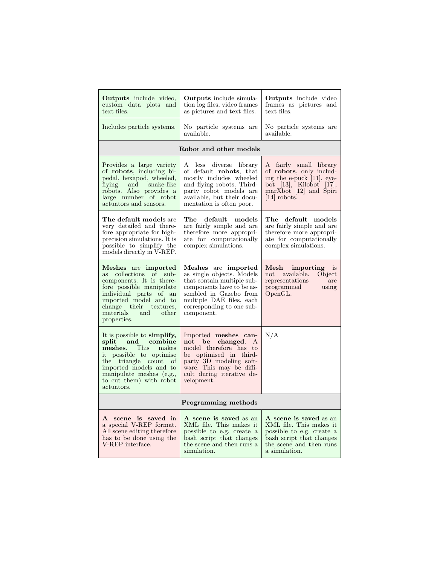| <b>Outputs</b> include video,<br>custom data plots and<br>text files.                                                                                                                                                                                    | <b>Outputs</b> include simula-<br>tion log files, video frames<br>as pictures and text files.                                                                                                                | <b>Outputs</b> include video<br>frames as pictures and<br>text files.                                                                                       |  |  |
|----------------------------------------------------------------------------------------------------------------------------------------------------------------------------------------------------------------------------------------------------------|--------------------------------------------------------------------------------------------------------------------------------------------------------------------------------------------------------------|-------------------------------------------------------------------------------------------------------------------------------------------------------------|--|--|
| Includes particle systems.                                                                                                                                                                                                                               | No particle systems are<br>available.                                                                                                                                                                        | No particle systems are<br>available.                                                                                                                       |  |  |
|                                                                                                                                                                                                                                                          | Robot and other models                                                                                                                                                                                       |                                                                                                                                                             |  |  |
| Provides a large variety<br>of <b>robots</b> , including bi-<br>pedal, hexapod, wheeled,<br>and snake-like<br>flying<br>robots. Also provides a<br>large number of robot<br>actuators and sensors.                                                       | less<br>diverse library<br>А<br>of default <b>robots</b> , that<br>mostly includes wheeled<br>and flying robots. Third-<br>party robot models are<br>available, but their docu-<br>mentation is often poor.  | A fairly small library<br>of robots, only includ-<br>ing the e-puck [11], eye-<br>bot $[13]$ , Kilobot $[17]$ ,<br>marXbot [12] and Spiri<br>$[14]$ robots. |  |  |
| The default models are<br>very detailed and there-<br>fore appropriate for high-<br>precision simulations. It is<br>possible to simplify the<br>models directly in V-REP.                                                                                | The default<br>models<br>are fairly simple and are<br>therefore more appropri-<br>ate for computationally<br>complex simulations.                                                                            | The default models<br>are fairly simple and are<br>therefore more appropri-<br>ate for computationally<br>complex simulations.                              |  |  |
| Meshes are imported<br>collections of sub-<br>$\mathbf{a}\mathbf{s}$<br>components. It is there-<br>fore possible manipulate<br>individual parts of an<br>imported model and to<br>change their textures,<br>other<br>materials<br>and<br>properties.    | Meshes are imported<br>as single objects. Models<br>that contain multiple sub-<br>components have to be as-<br>sembled in Gazebo from<br>multiple DAE files, each<br>corresponding to one sub-<br>component. | Mesh importing is<br>available.<br>not<br>Object<br>representations<br>are<br>programmed<br>using<br>OpenGL.                                                |  |  |
| It is possible to <b>simplify</b> ,<br>${\rm split}$<br>and<br>combine<br>meshes.<br>This<br>makes<br>it possible to optimise<br>the triangle count<br>оf<br>imported models and to<br>manipulate meshes (e.g.,<br>to cut them) with robot<br>actuators. | Imported meshes can-<br>not be changed.<br>A<br>model therefore has to<br>be optimised in third-<br>party 3D modeling soft-<br>ware. This may be diffi-<br>cult during iterative de-<br>velopment.           | N/A                                                                                                                                                         |  |  |
| Programming methods                                                                                                                                                                                                                                      |                                                                                                                                                                                                              |                                                                                                                                                             |  |  |
| A scene is saved in<br>a special V-REP format.<br>All scene editing therefore<br>has to be done using the<br>V-REP interface.                                                                                                                            | A scene is saved as an<br>XML file. This makes it<br>possible to e.g. create a<br>bash script that changes<br>the scene and then runs a<br>simulation.                                                       | A scene is saved as an<br>XML file. This makes it<br>possible to e.g. create a<br>bash script that changes<br>the scene and then runs<br>a simulation.      |  |  |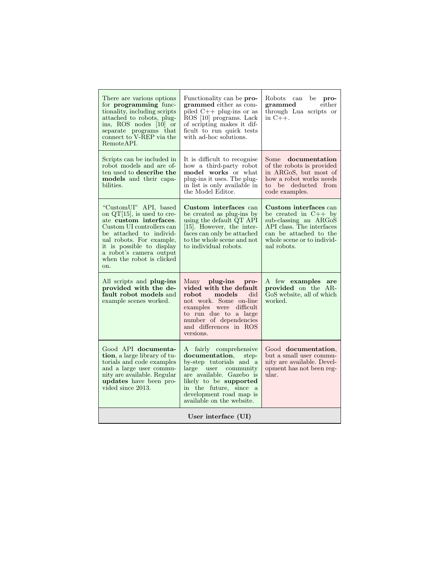| There are various options<br>for <b>programming</b> func-<br>tionality, including scripts<br>attached to robots, plug-<br>ins, ROS nodes [10] or<br>separate programs that<br>connect to V-REP via the<br>RemoteAPI.                                                            | Functionality can be <b>pro-</b><br><b>grammed</b> either as com-<br>piled $C++$ plug-ins or as<br>ROS [10] programs. Lack<br>of scripting makes it dif-<br>ficult to run quick tests<br>with ad-hoc solutions.                           | Robots can be pro-<br>grammed<br>either<br>through Lua scripts or<br>in $C++$ .                                                                                              |  |
|---------------------------------------------------------------------------------------------------------------------------------------------------------------------------------------------------------------------------------------------------------------------------------|-------------------------------------------------------------------------------------------------------------------------------------------------------------------------------------------------------------------------------------------|------------------------------------------------------------------------------------------------------------------------------------------------------------------------------|--|
| Scripts can be included in<br>robot models and are of-<br>ten used to <b>describe</b> the<br>models and their capa-<br>bilities.                                                                                                                                                | It is difficult to recognise<br>how a third-party robot<br>model works or what<br>plug-ins it uses. The plug-<br>in list is only available in<br>the Model Editor.                                                                        | Some documentation<br>of the robots is provided<br>in ARGoS, but most of<br>how a robot works needs<br>to be deducted from<br>code examples.                                 |  |
| "CustomUI" API, based<br>on $\langle \text{QT} 15 $ , is used to cre-<br>ate custom interfaces.<br>Custom UI controllers can<br>be attached to individ-<br>ual robots. For example,<br>it is possible to display<br>a robot's camera output<br>when the robot is clicked<br>on. | Custom interfaces can<br>be created as plug-ins by<br>using the default QT API<br>[15]. However, the inter-<br>faces can only be attached<br>to the whole scene and not<br>to individual robots.                                          | Custom interfaces can<br>be created in $C++$ by<br>sub-classing an ARGoS<br>API class. The interfaces<br>can be attached to the<br>whole scene or to individ-<br>ual robots. |  |
| All scripts and <b>plug-ins</b><br>provided with the de-<br>fault robot models and<br>example scenes worked.                                                                                                                                                                    | Many plug-ins pro-<br>vided with the default<br>models<br>did<br>robot<br>not work. Some on-line<br>examples were difficult<br>to run due to a large<br>number of dependencies<br>and differences in ROS<br>versions.                     | A few <b>examples</b><br>are<br>provided on the AR-<br>GoS website, all of which<br>worked.                                                                                  |  |
| Good API documenta-<br>tion, a large library of tu-<br>torials and code examples<br>and a large user commu-<br>nity are available. Regular<br>updates have been pro-<br>vided since 2013.                                                                                       | A fairly comprehensive<br>documentation, step-<br>by-step tutorials and a<br>large user community<br>are available. Gazebo is<br>likely to be supported<br>in the future, since a<br>development road map is<br>available on the website. | Good documentation,<br>but a small user commu-<br>nity are available. Devel-<br>opment has not been reg-<br>ular.                                                            |  |
| User interface (UI)                                                                                                                                                                                                                                                             |                                                                                                                                                                                                                                           |                                                                                                                                                                              |  |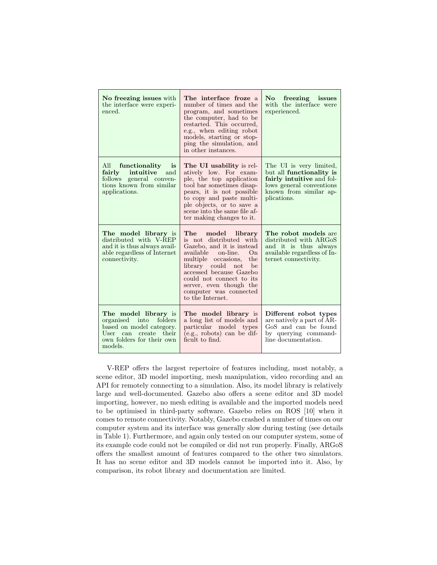| No freezing issues with<br>the interface were experi-<br>enced.                                                                                      | The interface froze a<br>number of times and the<br>program, and sometimes<br>the computer, had to be<br>restarted. This occurred,<br>e.g., when editing robot<br>models, starting or stop-<br>ping the simulation, and<br>in other instances.                                                 | No freezing issues<br>with the interface were<br>experienced.                                                                                         |
|------------------------------------------------------------------------------------------------------------------------------------------------------|------------------------------------------------------------------------------------------------------------------------------------------------------------------------------------------------------------------------------------------------------------------------------------------------|-------------------------------------------------------------------------------------------------------------------------------------------------------|
| All<br>functionality<br>is<br>fairly intuitive<br>and<br>follows general conven-<br>tions known from similar<br>applications.                        | The UI usability is rel-<br>atively low. For exam-<br>ple, the top application<br>tool bar sometimes disap-<br>pears, it is not possible<br>to copy and paste multi-<br>ple objects, or to save a<br>scene into the same file af-<br>ter making changes to it.                                 | The UI is very limited,<br>but all functionality is<br>fairly intuitive and fol-<br>lows general conventions<br>known from similar ap-<br>plications. |
| The model library is<br>distributed with V-REP<br>and it is thus always avail-<br>able regardless of Internet<br>connectivity.                       | The model library<br>is not distributed with<br>Gazebo, and it is instead<br>on-line.<br>available<br>On<br>multiple occasions,<br>the<br>library could not be<br>accessed because Gazebo<br>could not connect to its<br>server, even though the<br>computer was connected<br>to the Internet. | The robot models are<br>distributed with ARGoS<br>and it is thus always<br>available regardless of In-<br>ternet connectivity.                        |
| The model library is<br>organised<br>into<br>folders<br>based on model category.<br>create their<br>User can<br>own folders for their own<br>models. | The model library is<br>a long list of models and<br>particular model types<br>(e.g., robots) can be dif-<br>ficult to find.                                                                                                                                                                   | Different robot types<br>are natively a part of AR-<br>GoS and can be found<br>by querying command-<br>line documentation.                            |

V-REP offers the largest repertoire of features including, most notably, a scene editor, 3D model importing, mesh manipulation, video recording and an API for remotely connecting to a simulation. Also, its model library is relatively large and well-documented. Gazebo also offers a scene editor and 3D model importing, however, no mesh editing is available and the imported models need to be optimised in third-party software. Gazebo relies on ROS [10] when it comes to remote connectivity. Notably, Gazebo crashed a number of times on our computer system and its interface was generally slow during testing (see details in Table 1). Furthermore, and again only tested on our computer system, some of its example code could not be compiled or did not run properly. Finally, ARGoS offers the smallest amount of features compared to the other two simulators. It has no scene editor and 3D models cannot be imported into it. Also, by comparison, its robot library and documentation are limited.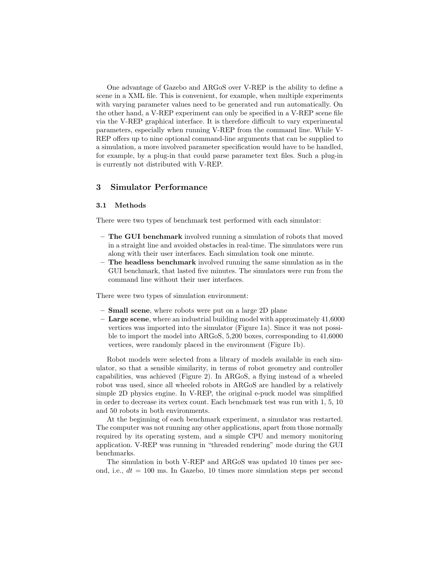One advantage of Gazebo and ARGoS over V-REP is the ability to define a scene in a XML file. This is convenient, for example, when multiple experiments with varying parameter values need to be generated and run automatically. On the other hand, a V-REP experiment can only be specified in a V-REP scene file via the V-REP graphical interface. It is therefore difficult to vary experimental parameters, especially when running V-REP from the command line. While V-REP offers up to nine optional command-line arguments that can be supplied to a simulation, a more involved parameter specification would have to be handled, for example, by a plug-in that could parse parameter text files. Such a plug-in is currently not distributed with V-REP.

## 3 Simulator Performance

#### 3.1 Methods

There were two types of benchmark test performed with each simulator:

- The GUI benchmark involved running a simulation of robots that moved in a straight line and avoided obstacles in real-time. The simulators were run along with their user interfaces. Each simulation took one minute.
- The headless benchmark involved running the same simulation as in the GUI benchmark, that lasted five minutes. The simulators were run from the command line without their user interfaces.

There were two types of simulation environment:

- Small scene, where robots were put on a large 2D plane
- $-$  Large scene, where an industrial building model with approximately 41,6000 vertices was imported into the simulator (Figure 1a). Since it was not possible to import the model into ARGoS, 5,200 boxes, corresponding to 41,6000 vertices, were randomly placed in the environment (Figure 1b).

Robot models were selected from a library of models available in each simulator, so that a sensible similarity, in terms of robot geometry and controller capabilities, was achieved (Figure 2). In ARGoS, a flying instead of a wheeled robot was used, since all wheeled robots in ARGoS are handled by a relatively simple 2D physics engine. In V-REP, the original e-puck model was simplified in order to decrease its vertex count. Each benchmark test was run with 1, 5, 10 and 50 robots in both environments.

At the beginning of each benchmark experiment, a simulator was restarted. The computer was not running any other applications, apart from those normally required by its operating system, and a simple CPU and memory monitoring application. V-REP was running in "threaded rendering" mode during the GUI benchmarks.

The simulation in both V-REP and ARGoS was updated 10 times per second, i.e.,  $dt = 100$  ms. In Gazebo, 10 times more simulation steps per second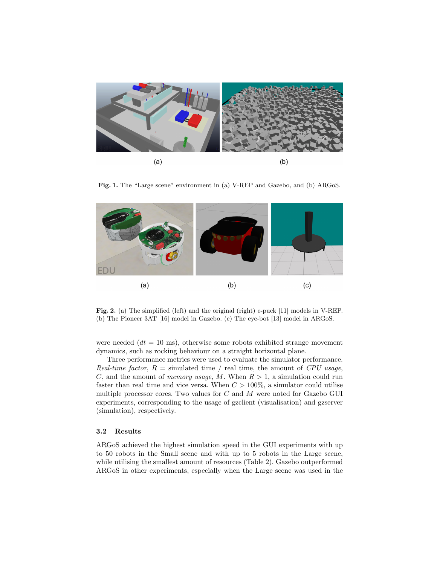

Fig. 1. The "Large scene" environment in (a) V-REP and Gazebo, and (b) ARGoS.



Fig. 2. (a) The simplified (left) and the original (right) e-puck [11] models in V-REP. (b) The Pioneer 3AT [16] model in Gazebo. (c) The eye-bot [13] model in ARGoS.

were needed  $(dt = 10 \text{ ms})$ , otherwise some robots exhibited strange movement dynamics, such as rocking behaviour on a straight horizontal plane.

Three performance metrics were used to evaluate the simulator performance. Real-time factor,  $R = \text{simulated time } / \text{ real time}$ , the amount of CPU usage, C, and the amount of *memory usage*, M. When  $R > 1$ , a simulation could run faster than real time and vice versa. When  $C > 100\%$ , a simulator could utilise multiple processor cores. Two values for C and M were noted for Gazebo GUI experiments, corresponding to the usage of gzclient (visualisation) and gzserver (simulation), respectively.

### 3.2 Results

ARGoS achieved the highest simulation speed in the GUI experiments with up to 50 robots in the Small scene and with up to 5 robots in the Large scene, while utilising the smallest amount of resources (Table 2). Gazebo outperformed ARGoS in other experiments, especially when the Large scene was used in the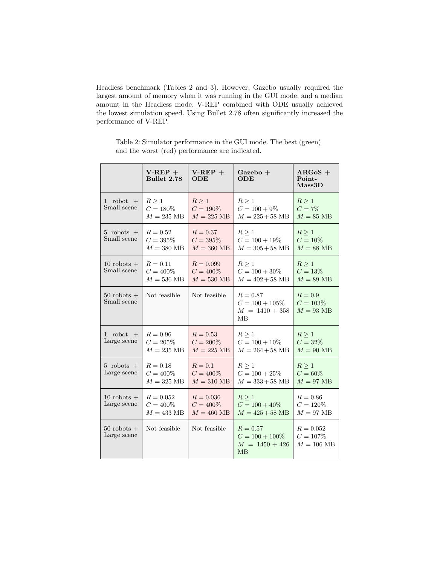Headless benchmark (Tables 2 and 3). However, Gazebo usually required the largest amount of memory when it was running in the GUI mode, and a median amount in the Headless mode. V-REP combined with ODE usually achieved the lowest simulation speed. Using Bullet 2.78 often significantly increased the performance of V-REP.

Table 2: Simulator performance in the GUI mode. The best (green) and the worst (red) performance are indicated.

|                                | $V$ -REP +<br>Bullet 2.78                          | $V$ -REP +<br>ODE                          | $Gazebo +$<br>ODE                                         | $ARGoS +$<br>Point-<br>Mass3D              |
|--------------------------------|----------------------------------------------------|--------------------------------------------|-----------------------------------------------------------|--------------------------------------------|
| 1 robot $+$<br>Small scene     | $R\geq 1$<br>$C = 180\%$<br>$M = 235$ MB           | R > 1<br>$C = 190\%$<br>$M = 225$ MB       | $R\geq 1$<br>$C = 100 + 9\%$<br>$M = 225 + 58$ MB         | R > 1<br>$C = 7\%$<br>$M = 85$ MB          |
| $5$ robots $+$<br>Small scene  | $R = 0.52$<br>$C=395\%$<br>$M = 380$ MB            | $R = 0.37$<br>$C = 395\%$<br>$M = 360$ MB  | R > 1<br>$C = 100 + 19\%$<br>$M = 305 + 58$ MB            | R > 1<br>$C = 10\%$<br>$M = 88$ MB         |
| $10$ robots $+$<br>Small scene | $R = 0.11$<br>$C = 400\%$<br>$M = 536$ MB          | $R = 0.099$<br>$C = 400\%$<br>$M = 530$ MB | R > 1<br>$C = 100 + 30\%$<br>$M = 402 + 58$ MB            | $R\geq 1$<br>$C = 13\%$<br>$M = 89$ MB     |
| $50$ robots $+$<br>Small scene | Not feasible                                       | Not feasible                               | $R = 0.87$<br>$C = 100 + 105\%$<br>$M = 1410 + 358$<br>MВ | $R=0.9$<br>$C = 103\%$<br>$M = 93$ MB      |
| 1 robot $+$<br>Large scene     | $R = 0.96$<br>$C = 205\%$<br>$M = 235$ MB          | $R = 0.53$<br>$C = 200\%$<br>$M = 225$ MB  | $R\geq 1$<br>$C = 100 + 10\%$<br>$M=264+58~\mathrm{MB}$   | $R\geq 1$<br>$C = 32\%$<br>$M = 90$ MB     |
| $5$ robots $+$<br>Large scene  | $R = 0.18$<br>$C=400\%$<br>$M = 325$ MB            | $R=0.1$<br>$C = 400\%$<br>$M = 310$ MB     | $R\geq 1$<br>$C = 100 + 25\%$<br>$M = 333 + 58$ MB        | $R\geq 1$<br>$C = 60\%$<br>$M = 97$ MB     |
| $10$ robots $+$<br>Large scene | $R = 0.052$<br>$C = 400\%$<br>$M = 433 \text{ MB}$ | $R = 0.036$<br>$C = 400\%$<br>$M = 460$ MB | $R\geq 1$<br>$C = 100 + 40\%$<br>$M = 425 + 58$ MB        | $R = 0.86$<br>$C = 120\%$<br>$M = 97$ MB   |
| $50$ robots $+$<br>Large scene | Not feasible                                       | Not feasible                               | $R = 0.57$<br>$C = 100 + 100\%$<br>$M = 1450 + 426$<br>MB | $R = 0.052$<br>$C = 107\%$<br>$M = 106$ MB |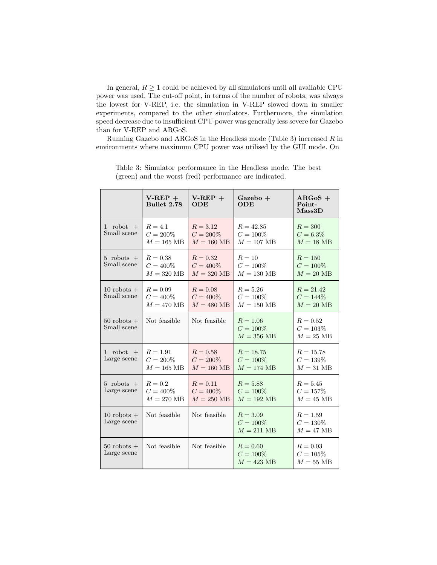In general,  $R \geq 1$  could be achieved by all simulators until all available CPU power was used. The cut-off point, in terms of the number of robots, was always the lowest for V-REP, i.e. the simulation in V-REP slowed down in smaller experiments, compared to the other simulators. Furthermore, the simulation speed decrease due to insufficient CPU power was generally less severe for Gazebo than for V-REP and ARGoS.

Running Gazebo and ARGoS in the Headless mode (Table 3) increased R in environments where maximum CPU power was utilised by the GUI mode. On

|                                | $V$ -REP +<br>Bullet 2.78                 | $V$ -REP +<br><b>ODE</b>                  | $Gazebo +$<br><b>ODE</b>                   | $ARGoS +$<br>Point-<br>Mass3D             |
|--------------------------------|-------------------------------------------|-------------------------------------------|--------------------------------------------|-------------------------------------------|
| 1 robot $+$<br>Small scene     | $R=4.1$<br>$C = 200\%$<br>$M = 165$ MB    | $R = 3.12$<br>$C = 200\%$<br>$M = 160$ MB | $R = 42.85$<br>$C = 100\%$<br>$M = 107$ MB | $R=300$<br>$C = 6.3\%$<br>$M = 18$ MB     |
| $5$ robots $+$<br>Small scene  | $R = 0.38$<br>$C = 400\%$<br>$M = 320$ MB | $R = 0.32$<br>$C = 400\%$<br>$M = 320$ MB | $R=10$<br>$C = 100\%$<br>$M = 130$ MB      | $R=150$<br>$C = 100\%$<br>$M = 20$ MB     |
| $10$ robots $+$<br>Small scene | $R = 0.09$<br>$C = 400\%$<br>$M = 470$ MB | $R = 0.08$<br>$C = 400\%$<br>$M = 480$ MB | $R = 5.26$<br>$C = 100\%$<br>$M = 150$ MB  | $R = 21.42$<br>$C = 144\%$<br>$M = 20$ MB |
| $50$ robots $+$<br>Small scene | Not feasible                              | Not feasible                              | $R = 1.06$<br>$C = 100\%$<br>$M = 356$ MB  | $R = 0.52$<br>$C = 103\%$<br>$M = 25$ MB  |
| 1 robot $+$<br>Large scene     | $R = 1.91$<br>$C = 200\%$<br>$M = 165$ MB | $R = 0.58$<br>$C = 200\%$<br>$M = 160$ MB | $R = 18.75$<br>$C = 100\%$<br>$M = 174$ MB | $R = 15.78$<br>$C = 139\%$<br>$M = 31$ MB |
| $5$ robots $+$<br>Large scene  | $R=0.2$<br>$C = 400\%$<br>$M = 270$ MB    | $R = 0.11$<br>$C = 400\%$<br>$M = 250$ MB | $R = 5.88$<br>$C = 100\%$<br>$M = 192$ MB  | $R = 5.45$<br>$C = 157\%$<br>$M = 45$ MB  |
| $10$ robots $+$<br>Large scene | Not feasible                              | Not feasible                              | $R = 3.09$<br>$C = 100\%$<br>$M = 211$ MB  | $R = 1.59$<br>$C = 130\%$<br>$M = 47$ MB  |
| $50$ robots $+$<br>Large scene | Not feasible                              | Not feasible                              | $R = 0.60$<br>$C = 100\%$<br>$M = 423$ MB  | $R = 0.03$<br>$C = 105\%$<br>$M = 55$ MB  |

Table 3: Simulator performance in the Headless mode. The best (green) and the worst (red) performance are indicated.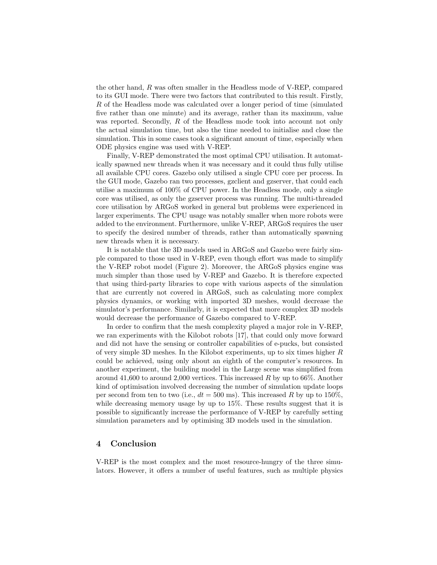the other hand, R was often smaller in the Headless mode of V-REP, compared to its GUI mode. There were two factors that contributed to this result. Firstly, R of the Headless mode was calculated over a longer period of time (simulated five rather than one minute) and its average, rather than its maximum, value was reported. Secondly, R of the Headless mode took into account not only the actual simulation time, but also the time needed to initialise and close the simulation. This in some cases took a significant amount of time, especially when ODE physics engine was used with V-REP.

Finally, V-REP demonstrated the most optimal CPU utilisation. It automatically spawned new threads when it was necessary and it could thus fully utilise all available CPU cores. Gazebo only utilised a single CPU core per process. In the GUI mode, Gazebo ran two processes, gzclient and gzserver, that could each utilise a maximum of 100% of CPU power. In the Headless mode, only a single core was utilised, as only the gzserver process was running. The multi-threaded core utilisation by ARGoS worked in general but problems were experienced in larger experiments. The CPU usage was notably smaller when more robots were added to the environment. Furthermore, unlike V-REP, ARGoS requires the user to specify the desired number of threads, rather than automatically spawning new threads when it is necessary.

It is notable that the 3D models used in ARGoS and Gazebo were fairly simple compared to those used in V-REP, even though effort was made to simplify the V-REP robot model (Figure 2). Moreover, the ARGoS physics engine was much simpler than those used by V-REP and Gazebo. It is therefore expected that using third-party libraries to cope with various aspects of the simulation that are currently not covered in ARGoS, such as calculating more complex physics dynamics, or working with imported 3D meshes, would decrease the simulator's performance. Similarly, it is expected that more complex 3D models would decrease the performance of Gazebo compared to V-REP.

In order to confirm that the mesh complexity played a major role in V-REP, we ran experiments with the Kilobot robots [17], that could only move forward and did not have the sensing or controller capabilities of e-pucks, but consisted of very simple 3D meshes. In the Kilobot experiments, up to six times higher  $R$ could be achieved, using only about an eighth of the computer's resources. In another experiment, the building model in the Large scene was simplified from around 41,600 to around 2,000 vertices. This increased R by up to  $66\%$ . Another kind of optimisation involved decreasing the number of simulation update loops per second from ten to two (i.e.,  $dt = 500$  ms). This increased R by up to 150%, while decreasing memory usage by up to  $15\%$ . These results suggest that it is possible to significantly increase the performance of V-REP by carefully setting simulation parameters and by optimising 3D models used in the simulation.

## 4 Conclusion

V-REP is the most complex and the most resource-hungry of the three simulators. However, it offers a number of useful features, such as multiple physics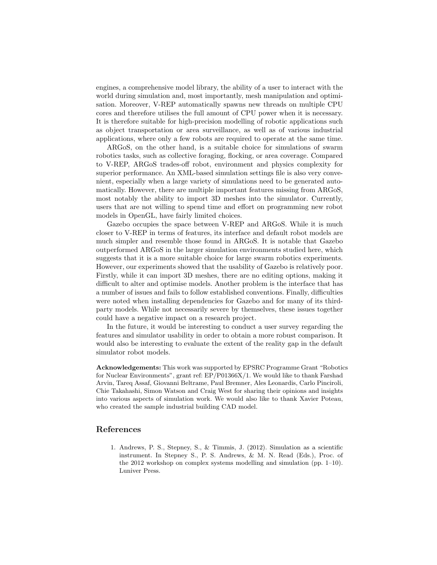engines, a comprehensive model library, the ability of a user to interact with the world during simulation and, most importantly, mesh manipulation and optimisation. Moreover, V-REP automatically spawns new threads on multiple CPU cores and therefore utilises the full amount of CPU power when it is necessary. It is therefore suitable for high-precision modelling of robotic applications such as object transportation or area surveillance, as well as of various industrial applications, where only a few robots are required to operate at the same time.

ARGoS, on the other hand, is a suitable choice for simulations of swarm robotics tasks, such as collective foraging, flocking, or area coverage. Compared to V-REP, ARGoS trades-off robot, environment and physics complexity for superior performance. An XML-based simulation settings file is also very convenient, especially when a large variety of simulations need to be generated automatically. However, there are multiple important features missing from ARGoS, most notably the ability to import 3D meshes into the simulator. Currently, users that are not willing to spend time and effort on programming new robot models in OpenGL, have fairly limited choices.

Gazebo occupies the space between V-REP and ARGoS. While it is much closer to V-REP in terms of features, its interface and default robot models are much simpler and resemble those found in ARGoS. It is notable that Gazebo outperformed ARGoS in the larger simulation environments studied here, which suggests that it is a more suitable choice for large swarm robotics experiments. However, our experiments showed that the usability of Gazebo is relatively poor. Firstly, while it can import 3D meshes, there are no editing options, making it difficult to alter and optimise models. Another problem is the interface that has a number of issues and fails to follow established conventions. Finally, difficulties were noted when installing dependencies for Gazebo and for many of its thirdparty models. While not necessarily severe by themselves, these issues together could have a negative impact on a research project.

In the future, it would be interesting to conduct a user survey regarding the features and simulator usability in order to obtain a more robust comparison. It would also be interesting to evaluate the extent of the reality gap in the default simulator robot models.

Acknowledgements: This work was supported by EPSRC Programme Grant "Robotics for Nuclear Environments", grant ref: EP/P01366X/1. We would like to thank Farshad Arvin, Tareq Assaf, Giovanni Beltrame, Paul Bremner, Ales Leonardis, Carlo Pinciroli, Chie Takahashi, Simon Watson and Craig West for sharing their opinions and insights into various aspects of simulation work. We would also like to thank Xavier Poteau, who created the sample industrial building CAD model.

## References

1. Andrews, P. S., Stepney, S., & Timmis, J. (2012). Simulation as a scientific instrument. In Stepney S., P. S. Andrews, & M. N. Read (Eds.), Proc. of the 2012 workshop on complex systems modelling and simulation (pp. 1–10). Luniver Press.